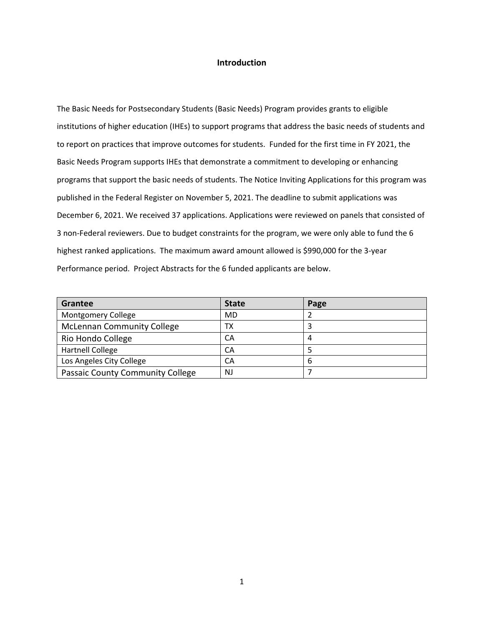#### **Introduction**

The Basic Needs for Postsecondary Students (Basic Needs) Program provides grants to eligible institutions of higher education (IHEs) to support programs that address the basic needs of students and to report on practices that improve outcomes for students. Funded for the first time in FY 2021, the Basic Needs Program supports IHEs that demonstrate a commitment to developing or enhancing programs that support the basic needs of students. The Notice Inviting Applications for this program was published in the Federal Register on November 5, 2021. The deadline to submit applications was December 6, 2021. We received 37 applications. Applications were reviewed on panels that consisted of 3 non-Federal reviewers. Due to budget constraints for the program, we were only able to fund the 6 highest ranked applications. The maximum award amount allowed is \$990,000 for the 3-year Performance period. Project Abstracts for the 6 funded applicants are below.

| Grantee                           | <b>State</b> | Page |
|-----------------------------------|--------------|------|
| <b>Montgomery College</b>         | MD           |      |
| <b>McLennan Community College</b> | ТX           |      |
| Rio Hondo College                 | CA           |      |
| <b>Hartnell College</b>           | CA           |      |
| Los Angeles City College          | CA           | b    |
| Passaic County Community College  | NJ           |      |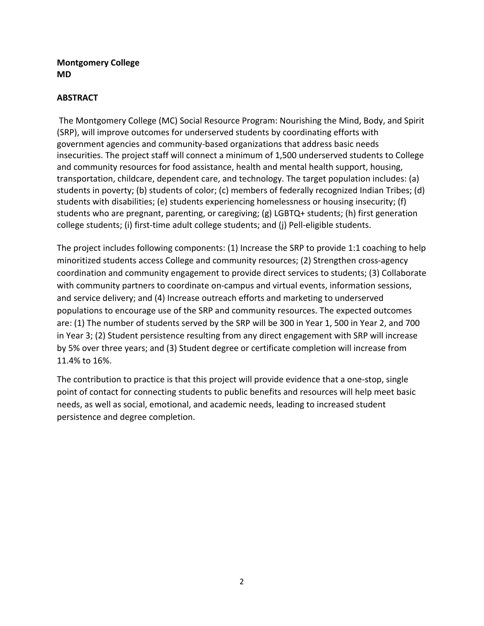# **Montgomery College MD**

# **ABSTRACT**

The Montgomery College (MC) Social Resource Program: Nourishing the Mind, Body, and Spirit (SRP), will improve outcomes for underserved students by coordinating efforts with government agencies and community-based organizations that address basic needs insecurities. The project staff will connect a minimum of 1,500 underserved students to College and community resources for food assistance, health and mental health support, housing, transportation, childcare, dependent care, and technology. The target population includes: (a) students in poverty; (b) students of color; (c) members of federally recognized Indian Tribes; (d) students with disabilities; (e) students experiencing homelessness or housing insecurity; (f) students who are pregnant, parenting, or caregiving; (g) LGBTQ+ students; (h) first generation college students; (i) first-time adult college students; and (j) Pell-eligible students.

The project includes following components: (1) Increase the SRP to provide 1:1 coaching to help minoritized students access College and community resources; (2) Strengthen cross-agency coordination and community engagement to provide direct services to students; (3) Collaborate with community partners to coordinate on-campus and virtual events, information sessions, and service delivery; and (4) Increase outreach efforts and marketing to underserved populations to encourage use of the SRP and community resources. The expected outcomes are: (1) The number of students served by the SRP will be 300 in Year 1, 500 in Year 2, and 700 in Year 3; (2) Student persistence resulting from any direct engagement with SRP will increase by 5% over three years; and (3) Student degree or certificate completion will increase from 11.4% to 16%.

The contribution to practice is that this project will provide evidence that a one-stop, single point of contact for connecting students to public benefits and resources will help meet basic needs, as well as social, emotional, and academic needs, leading to increased student persistence and degree completion.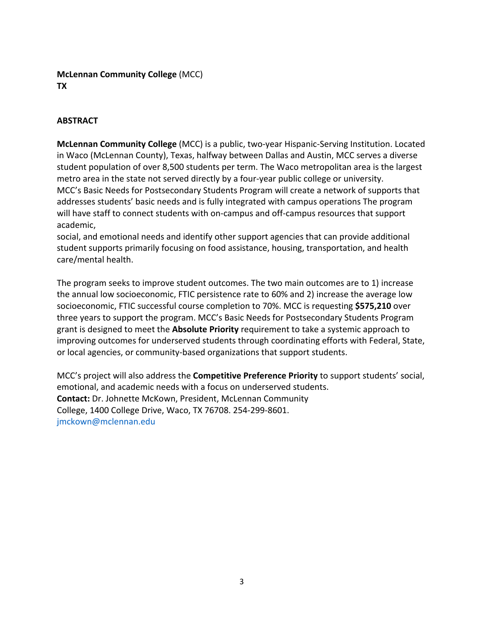# **McLennan Community College** (MCC) **TX**

# **ABSTRACT**

**McLennan Community College** (MCC) is a public, two-year Hispanic-Serving Institution. Located in Waco (McLennan County), Texas, halfway between Dallas and Austin, MCC serves a diverse student population of over 8,500 students per term. The Waco metropolitan area is the largest metro area in the state not served directly by a four-year public college or university. MCC's Basic Needs for Postsecondary Students Program will create a network of supports that addresses students' basic needs and is fully integrated with campus operations The program will have staff to connect students with on-campus and off-campus resources that support academic,

social, and emotional needs and identify other support agencies that can provide additional student supports primarily focusing on food assistance, housing, transportation, and health care/mental health.

The program seeks to improve student outcomes. The two main outcomes are to 1) increase the annual low socioeconomic, FTIC persistence rate to 60% and 2) increase the average low socioeconomic, FTIC successful course completion to 70%. MCC is requesting **\$575,210** over three years to support the program. MCC's Basic Needs for Postsecondary Students Program grant is designed to meet the **Absolute Priority** requirement to take a systemic approach to improving outcomes for underserved students through coordinating efforts with Federal, State, or local agencies, or community-based organizations that support students.

MCC's project will also address the **Competitive Preference Priority** to support students' social, emotional, and academic needs with a focus on underserved students. **Contact:** Dr. Johnette McKown, President, McLennan Community College, 1400 College Drive, Waco, TX 76708. 254-299-8601. jmckown@mclennan.edu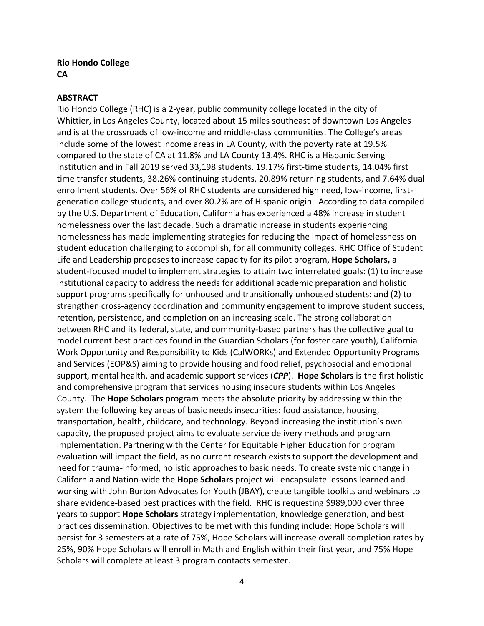## **Rio Hondo College CA**

#### **ABSTRACT**

Rio Hondo College (RHC) is a 2-year, public community college located in the city of Whittier, in Los Angeles County, located about 15 miles southeast of downtown Los Angeles and is at the crossroads of low-income and middle-class communities. The College's areas include some of the lowest income areas in LA County, with the poverty rate at 19.5% compared to the state of CA at 11.8% and LA County 13.4%. RHC is a Hispanic Serving Institution and in Fall 2019 served 33,198 students. 19.17% first-time students, 14.04% first time transfer students, 38.26% continuing students, 20.89% returning students, and 7.64% dual enrollment students. Over 56% of RHC students are considered high need, low-income, firstgeneration college students, and over 80.2% are of Hispanic origin. According to data compiled by the U.S. Department of Education, California has experienced a 48% increase in student homelessness over the last decade. Such a dramatic increase in students experiencing homelessness has made implementing strategies for reducing the impact of homelessness on student education challenging to accomplish, for all community colleges. RHC Office of Student Life and Leadership proposes to increase capacity for its pilot program, **Hope Scholars,** a student-focused model to implement strategies to attain two interrelated goals: (1) to increase institutional capacity to address the needs for additional academic preparation and holistic support programs specifically for unhoused and transitionally unhoused students: and (2) to strengthen cross-agency coordination and community engagement to improve student success, retention, persistence, and completion on an increasing scale. The strong collaboration between RHC and its federal, state, and community-based partners has the collective goal to model current best practices found in the Guardian Scholars (for foster care youth), California Work Opportunity and Responsibility to Kids (CalWORKs) and Extended Opportunity Programs and Services (EOP&S) aiming to provide housing and food relief, psychosocial and emotional support, mental health, and academic support services (*CPP*). **Hope Scholars** is the first holistic and comprehensive program that services housing insecure students within Los Angeles County. The **Hope Scholars** program meets the absolute priority by addressing within the system the following key areas of basic needs insecurities: food assistance, housing, transportation, health, childcare, and technology. Beyond increasing the institution's own capacity, the proposed project aims to evaluate service delivery methods and program implementation. Partnering with the Center for Equitable Higher Education for program evaluation will impact the field, as no current research exists to support the development and need for trauma-informed, holistic approaches to basic needs. To create systemic change in California and Nation-wide the **Hope Scholars** project will encapsulate lessons learned and working with John Burton Advocates for Youth (JBAY), create tangible toolkits and webinars to share evidence-based best practices with the field. RHC is requesting \$989,000 over three years to support **Hope Scholars** strategy implementation, knowledge generation, and best practices dissemination. Objectives to be met with this funding include: Hope Scholars will persist for 3 semesters at a rate of 75%, Hope Scholars will increase overall completion rates by 25%, 90% Hope Scholars will enroll in Math and English within their first year, and 75% Hope Scholars will complete at least 3 program contacts semester.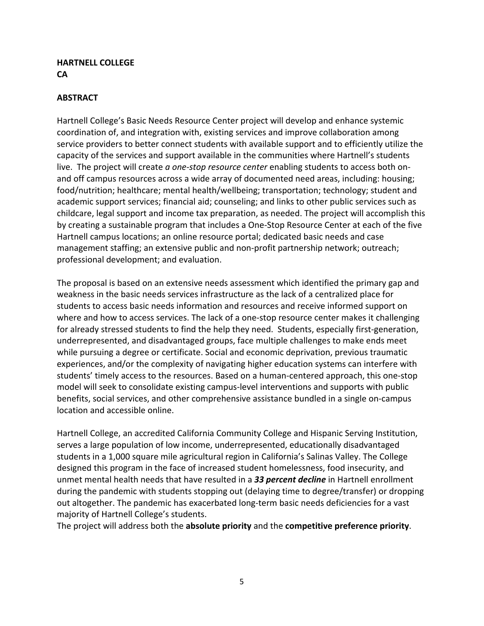## **HARTNELL COLLEGE CA**

# **ABSTRACT**

Hartnell College's Basic Needs Resource Center project will develop and enhance systemic coordination of, and integration with, existing services and improve collaboration among service providers to better connect students with available support and to efficiently utilize the capacity of the services and support available in the communities where Hartnell's students live. The project will create *a one-stop resource center* enabling students to access both onand off campus resources across a wide array of documented need areas, including: housing; food/nutrition; healthcare; mental health/wellbeing; transportation; technology; student and academic support services; financial aid; counseling; and links to other public services such as childcare, legal support and income tax preparation, as needed. The project will accomplish this by creating a sustainable program that includes a One-Stop Resource Center at each of the five Hartnell campus locations; an online resource portal; dedicated basic needs and case management staffing; an extensive public and non-profit partnership network; outreach; professional development; and evaluation.

The proposal is based on an extensive needs assessment which identified the primary gap and weakness in the basic needs services infrastructure as the lack of a centralized place for students to access basic needs information and resources and receive informed support on where and how to access services. The lack of a one-stop resource center makes it challenging for already stressed students to find the help they need. Students, especially first-generation, underrepresented, and disadvantaged groups, face multiple challenges to make ends meet while pursuing a degree or certificate. Social and economic deprivation, previous traumatic experiences, and/or the complexity of navigating higher education systems can interfere with students' timely access to the resources. Based on a human-centered approach, this one-stop model will seek to consolidate existing campus-level interventions and supports with public benefits, social services, and other comprehensive assistance bundled in a single on-campus location and accessible online.

Hartnell College, an accredited California Community College and Hispanic Serving Institution, serves a large population of low income, underrepresented, educationally disadvantaged students in a 1,000 square mile agricultural region in California's Salinas Valley. The College designed this program in the face of increased student homelessness, food insecurity, and unmet mental health needs that have resulted in a *33 percent decline* in Hartnell enrollment during the pandemic with students stopping out (delaying time to degree/transfer) or dropping out altogether. The pandemic has exacerbated long-term basic needs deficiencies for a vast majority of Hartnell College's students.

The project will address both the **absolute priority** and the **competitive preference priority**.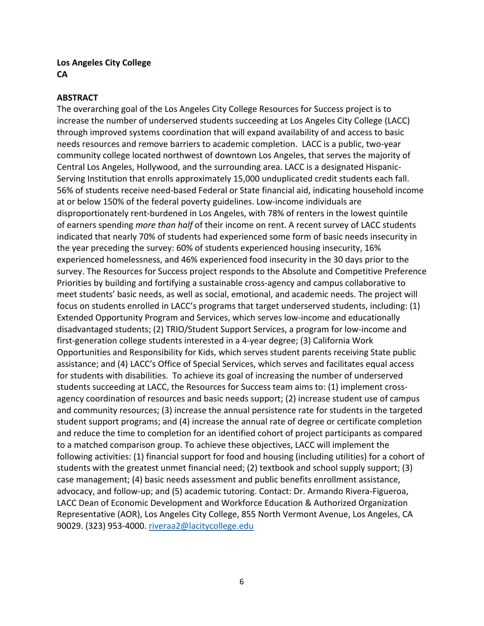## **Los Angeles City College CA**

#### **ABSTRACT**

The overarching goal of the Los Angeles City College Resources for Success project is to increase the number of underserved students succeeding at Los Angeles City College (LACC) through improved systems coordination that will expand availability of and access to basic needs resources and remove barriers to academic completion. LACC is a public, two-year community college located northwest of downtown Los Angeles, that serves the majority of Central Los Angeles, Hollywood, and the surrounding area. LACC is a designated Hispanic-Serving Institution that enrolls approximately 15,000 unduplicated credit students each fall. 56% of students receive need-based Federal or State financial aid, indicating household income at or below 150% of the federal poverty guidelines. Low-income individuals are disproportionately rent-burdened in Los Angeles, with 78% of renters in the lowest quintile of earners spending *more than half* of their income on rent. A recent survey of LACC students indicated that nearly 70% of students had experienced some form of basic needs insecurity in the year preceding the survey: 60% of students experienced housing insecurity, 16% experienced homelessness, and 46% experienced food insecurity in the 30 days prior to the survey. The Resources for Success project responds to the Absolute and Competitive Preference Priorities by building and fortifying a sustainable cross-agency and campus collaborative to meet students' basic needs, as well as social, emotional, and academic needs. The project will focus on students enrolled in LACC's programs that target underserved students, including: (1) Extended Opportunity Program and Services, which serves low-income and educationally disadvantaged students; (2) TRIO/Student Support Services, a program for low-income and first-generation college students interested in a 4-year degree; (3) California Work Opportunities and Responsibility for Kids, which serves student parents receiving State public assistance; and (4) LACC's Office of Special Services, which serves and facilitates equal access for students with disabilities. To achieve its goal of increasing the number of underserved students succeeding at LACC, the Resources for Success team aims to: (1) implement crossagency coordination of resources and basic needs support; (2) increase student use of campus and community resources; (3) increase the annual persistence rate for students in the targeted student support programs; and (4) increase the annual rate of degree or certificate completion and reduce the time to completion for an identified cohort of project participants as compared to a matched comparison group. To achieve these objectives, LACC will implement the following activities: (1) financial support for food and housing (including utilities) for a cohort of students with the greatest unmet financial need; (2) textbook and school supply support; (3) case management; (4) basic needs assessment and public benefits enrollment assistance, advocacy, and follow-up; and (5) academic tutoring. Contact: Dr. Armando Rivera-Figueroa, LACC Dean of Economic Development and Workforce Education & Authorized Organization Representative (AOR), Los Angeles City College, 855 North Vermont Avenue, Los Angeles, CA 90029. (323) 953-4000. [riveraa2@lacitycollege.edu](mailto:riveraa2@lacitycollege.edu)